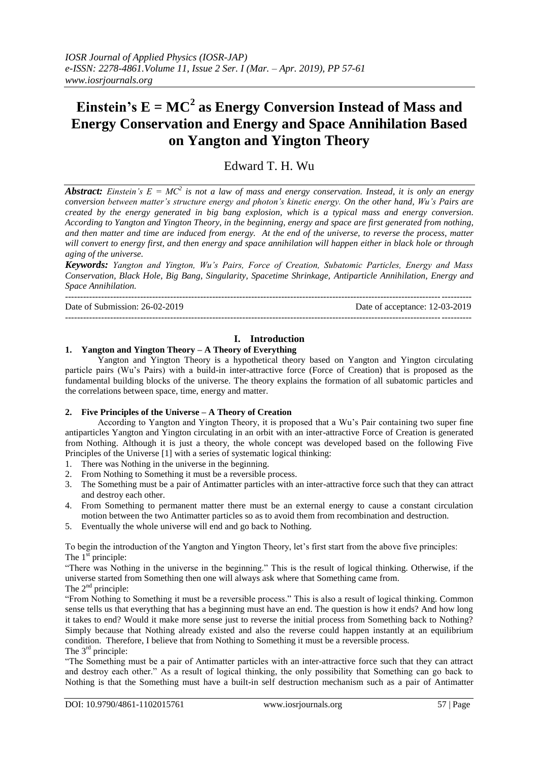# **Einstein's**  $E = MC^2$  **as Energy Conversion Instead of Mass and Energy Conservation and Energy and Space Annihilation Based on Yangton and Yington Theory**

# Edward T. H. Wu

*Abstract: Einstein's E = MC<sup>2</sup> is not a law of mass and energy conservation. Instead, it is only an energy conversion between matter's structure energy and photon's kinetic energy. On the other hand, Wu's Pairs are created by the energy generated in big bang explosion, which is a typical mass and energy conversion. According to Yangton and Yington Theory, in the beginning, energy and space are first generated from nothing, and then matter and time are induced from energy. At the end of the universe, to reverse the process, matter will convert to energy first, and then energy and space annihilation will happen either in black hole or through aging of the universe.*

*Keywords: Yangton and Yington, Wu's Pairs, Force of Creation, Subatomic Particles, Energy and Mass Conservation, Black Hole, Big Bang, Singularity, Spacetime Shrinkage, Antiparticle Annihilation, Energy and Space Annihilation.*

---------------------------------------------------------------------------------------------------------------------------------------

Date of Submission: 26-02-2019 Date of acceptance: 12-03-2019

---------------------------------------------------------------------------------------------------------------------------------------

# **I. Introduction**

# **1. Yangton and Yington Theory – A Theory of Everything**

Yangton and Yington Theory is a hypothetical theory based on Yangton and Yington circulating particle pairs (Wu's Pairs) with a build-in inter-attractive force (Force of Creation) that is proposed as the fundamental building blocks of the universe. The theory explains the formation of all subatomic particles and the correlations between space, time, energy and matter.

#### **2. Five Principles of the Universe – A Theory of Creation**

According to Yangton and Yington Theory, it is proposed that a Wu's Pair containing two super fine antiparticles Yangton and Yington circulating in an orbit with an inter-attractive Force of Creation is generated from Nothing. Although it is just a theory, the whole concept was developed based on the following Five Principles of the Universe [1] with a series of systematic logical thinking:

- 1. There was Nothing in the universe in the beginning.
- 2. From Nothing to Something it must be a reversible process.
- 3. The Something must be a pair of Antimatter particles with an inter-attractive force such that they can attract and destroy each other.
- 4. From Something to permanent matter there must be an external energy to cause a constant circulation motion between the two Antimatter particles so as to avoid them from recombination and destruction.
- 5. Eventually the whole universe will end and go back to Nothing.

To begin the introduction of the Yangton and Yington Theory, let's first start from the above five principles: The  $1^{\text{st}}$  principle:

"There was Nothing in the universe in the beginning." This is the result of logical thinking. Otherwise, if the universe started from Something then one will always ask where that Something came from. The 2<sup>nd</sup> principle:

"From Nothing to Something it must be a reversible process." This is also a result of logical thinking. Common sense tells us that everything that has a beginning must have an end. The question is how it ends? And how long it takes to end? Would it make more sense just to reverse the initial process from Something back to Nothing? Simply because that Nothing already existed and also the reverse could happen instantly at an equilibrium condition. Therefore, I believe that from Nothing to Something it must be a reversible process. The 3<sup>rd</sup> principle:

"The Something must be a pair of Antimatter particles with an inter-attractive force such that they can attract and destroy each other." As a result of logical thinking, the only possibility that Something can go back to Nothing is that the Something must have a built-in self destruction mechanism such as a pair of Antimatter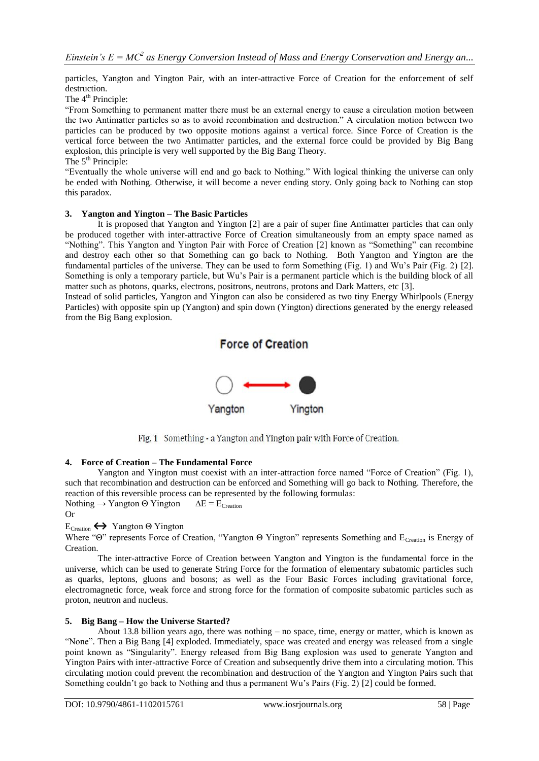particles, Yangton and Yington Pair, with an inter-attractive Force of Creation for the enforcement of self destruction.

The  $4<sup>th</sup>$  Principle:

"From Something to permanent matter there must be an external energy to cause a circulation motion between the two Antimatter particles so as to avoid recombination and destruction." A circulation motion between two particles can be produced by two opposite motions against a vertical force. Since Force of Creation is the vertical force between the two Antimatter particles, and the external force could be provided by Big Bang explosion, this principle is very well supported by the Big Bang Theory. The  $5<sup>th</sup>$  Principle:

"Eventually the whole universe will end and go back to Nothing." With logical thinking the universe can only be ended with Nothing. Otherwise, it will become a never ending story. Only going back to Nothing can stop this paradox.

## **3. Yangton and Yington – The Basic Particles**

It is proposed that Yangton and Yington [2] are a pair of super fine Antimatter particles that can only be produced together with inter-attractive Force of Creation simultaneously from an empty space named as "Nothing". This Yangton and Yington Pair with Force of Creation [2] known as "Something" can recombine and destroy each other so that Something can go back to Nothing. Both Yangton and Yington are the fundamental particles of the universe. They can be used to form Something (Fig. 1) and Wu's Pair (Fig. 2) [2]. Something is only a temporary particle, but Wu's Pair is a permanent particle which is the building block of all matter such as photons, quarks, electrons, positrons, neutrons, protons and Dark Matters, etc [3].

Instead of solid particles, Yangton and Yington can also be considered as two tiny Energy Whirlpools (Energy Particles) with opposite spin up (Yangton) and spin down (Yington) directions generated by the energy released from the Big Bang explosion.



Fig. 1 Something - a Yangton and Yington pair with Force of Creation.

#### **4. Force of Creation – The Fundamental Force**

Yangton and Yington must coexist with an inter-attraction force named "Force of Creation" (Fig. 1), such that recombination and destruction can be enforced and Something will go back to Nothing. Therefore, the reaction of this reversible process can be represented by the following formulas: Nothing  $\rightarrow$  Yangton  $\Theta$  Yington  $\Delta E = E_{\text{Cretion}}$ 

Or

# ECreation**↔** Yangton Θ Yington

Where "Θ" represents Force of Creation, "Yangton Θ Yington" represents Something and E<sub>Creation</sub> is Energy of Creation.

The inter-attractive Force of Creation between Yangton and Yington is the fundamental force in the universe, which can be used to generate String Force for the formation of elementary subatomic particles such as quarks, leptons, gluons and bosons; as well as the Four Basic Forces including gravitational force, electromagnetic force, weak force and strong force for the formation of composite subatomic particles such as proton, neutron and nucleus.

# **5. Big Bang – How the Universe Started?**

About 13.8 billion years ago, there was nothing – no space, time, energy or matter, which is known as "None". Then a Big Bang [4] exploded. Immediately, space was created and energy was released from a single point known as "Singularity". Energy released from Big Bang explosion was used to generate Yangton and Yington Pairs with inter-attractive Force of Creation and subsequently drive them into a circulating motion. This circulating motion could prevent the recombination and destruction of the Yangton and Yington Pairs such that Something couldn't go back to Nothing and thus a permanent Wu's Pairs (Fig. 2) [2] could be formed.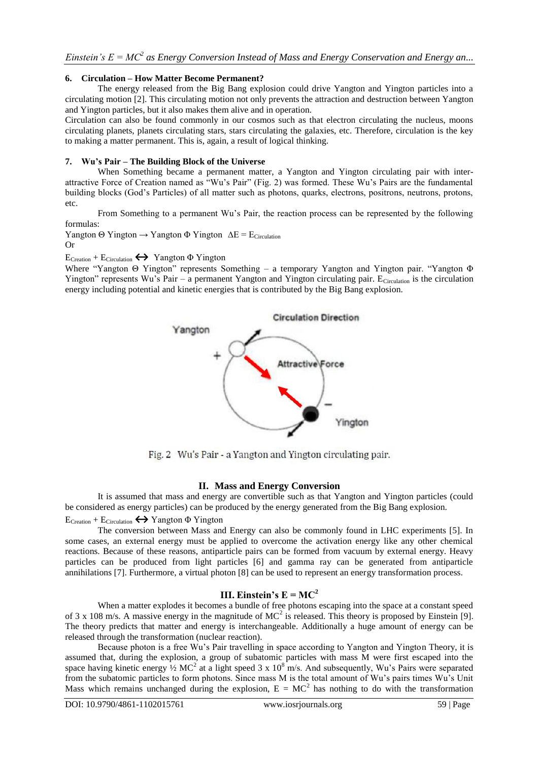## **6. Circulation – How Matter Become Permanent?**

The energy released from the Big Bang explosion could drive Yangton and Yington particles into a circulating motion [2]. This circulating motion not only prevents the attraction and destruction between Yangton and Yington particles, but it also makes them alive and in operation.

Circulation can also be found commonly in our cosmos such as that electron circulating the nucleus, moons circulating planets, planets circulating stars, stars circulating the galaxies, etc. Therefore, circulation is the key to making a matter permanent. This is, again, a result of logical thinking.

#### **7. Wu's Pair – The Building Block of the Universe**

When Something became a permanent matter, a Yangton and Yington circulating pair with interattractive Force of Creation named as "Wu's Pair" (Fig. 2) was formed. These Wu's Pairs are the fundamental building blocks (God's Particles) of all matter such as photons, quarks, electrons, positrons, neutrons, protons, etc.

From Something to a permanent Wu's Pair, the reaction process can be represented by the following formulas:

Yangton  $\Theta$  Yington  $\rightarrow$  Yangton  $\Phi$  Yington  $\Delta E = E_{Circulation}$ Or

ECreation + ECirculation**↔** Yangton Φ Yington

Where "Yangton Θ Yington" represents Something – a temporary Yangton and Yington pair. "Yangton Φ Yington" represents Wu's Pair – a permanent Yangton and Yington circulating pair.  $E_{Circulation}$  is the circulation energy including potential and kinetic energies that is contributed by the Big Bang explosion.



Fig. 2 Wu's Pair - a Yangton and Yington circulating pair.

# **II. Mass and Energy Conversion**

It is assumed that mass and energy are convertible such as that Yangton and Yington particles (could be considered as energy particles) can be produced by the energy generated from the Big Bang explosion.

 $E_{\text{Cretion}} + E_{\text{Circulation}} \leftrightarrow$  Yangton Φ Yington

The conversion between Mass and Energy can also be commonly found in LHC experiments [5]. In some cases, an external energy must be applied to overcome the activation energy like any other chemical reactions. Because of these reasons, antiparticle pairs can be formed from vacuum by external energy. Heavy particles can be produced from light particles [6] and gamma ray can be generated from antiparticle annihilations [7]. Furthermore, a virtual photon [8] can be used to represent an energy transformation process.

# **III. Einstein's**  $E = MC^2$

When a matter explodes it becomes a bundle of free photons escaping into the space at a constant speed of 3 x 108 m/s. A massive energy in the magnitude of  $MC^2$  is released. This theory is proposed by Einstein [9]. The theory predicts that matter and energy is interchangeable. Additionally a huge amount of energy can be released through the transformation (nuclear reaction).

Because photon is a free Wu's Pair travelling in space according to Yangton and Yington Theory, it is assumed that, during the explosion, a group of subatomic particles with mass M were first escaped into the space having kinetic energy  $\frac{1}{2}MC^2$  at a light speed 3 x 10<sup>8</sup> m/s. And subsequently, Wu's Pairs were separated from the subatomic particles to form photons. Since mass M is the total amount of Wu's pairs times Wu's Unit Mass which remains unchanged during the explosion,  $E = MC^2$  has nothing to do with the transformation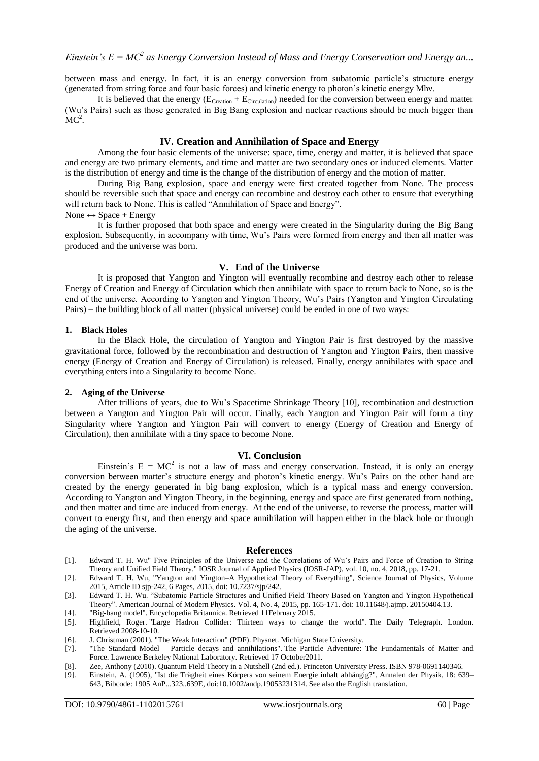between mass and energy. In fact, it is an energy conversion from subatomic particle's structure energy (generated from string force and four basic forces) and kinetic energy to photon's kinetic energy Mhν.

It is believed that the energy  $(E_{Cretion} + E_{Circulation})$  needed for the conversion between energy and matter (Wu's Pairs) such as those generated in Big Bang explosion and nuclear reactions should be much bigger than  $MC<sup>2</sup>$ .

#### **IV. Creation and Annihilation of Space and Energy**

Among the four basic elements of the universe: space, time, energy and matter, it is believed that space and energy are two primary elements, and time and matter are two secondary ones or induced elements. Matter is the distribution of energy and time is the change of the distribution of energy and the motion of matter.

During Big Bang explosion, space and energy were first created together from None. The process should be reversible such that space and energy can recombine and destroy each other to ensure that everything will return back to None. This is called "Annihilation of Space and Energy".

#### None  $\leftrightarrow$  Space + Energy

It is further proposed that both space and energy were created in the Singularity during the Big Bang explosion. Subsequently, in accompany with time, Wu's Pairs were formed from energy and then all matter was produced and the universe was born.

#### **V. End of the Universe**

It is proposed that Yangton and Yington will eventually recombine and destroy each other to release Energy of Creation and Energy of Circulation which then annihilate with space to return back to None, so is the end of the universe. According to Yangton and Yington Theory, Wu's Pairs (Yangton and Yington Circulating Pairs) – the building block of all matter (physical universe) could be ended in one of two ways:

#### **1. Black Holes**

In the Black Hole, the circulation of Yangton and Yington Pair is first destroyed by the massive gravitational force, followed by the recombination and destruction of Yangton and Yington Pairs, then massive energy (Energy of Creation and Energy of Circulation) is released. Finally, energy annihilates with space and everything enters into a Singularity to become None.

#### **2. Aging of the Universe**

After trillions of years, due to Wu's Spacetime Shrinkage Theory [10], recombination and destruction between a Yangton and Yington Pair will occur. Finally, each Yangton and Yington Pair will form a tiny Singularity where Yangton and Yington Pair will convert to energy (Energy of Creation and Energy of Circulation), then annihilate with a tiny space to become None.

#### **VI. Conclusion**

Einstein's  $E = MC^2$  is not a law of mass and energy conservation. Instead, it is only an energy conversion between matter's structure energy and photon's kinetic energy. Wu's Pairs on the other hand are created by the energy generated in big bang explosion, which is a typical mass and energy conversion. According to Yangton and Yington Theory, in the beginning, energy and space are first generated from nothing, and then matter and time are induced from energy. At the end of the universe, to reverse the process, matter will convert to energy first, and then energy and space annihilation will happen either in the black hole or through the aging of the universe.

#### **References**

- [1]. Edward T. H. Wu" Five Principles of the Universe and the Correlations of Wu's Pairs and Force of Creation to String Theory and Unified Field Theory." IOSR Journal of Applied Physics (IOSR-JAP), vol. 10, no. 4, 2018, pp. 17-21.
- [2]. Edward T. H. Wu, "Yangton and Yington–A Hypothetical Theory of Everything", Science Journal of Physics, Volume 2015, Article ID sjp-242, 6 Pages, 2015, doi: 10.7237/sjp/242.
- [3]. Edward T. H. Wu. "Subatomic Particle Structures and Unified Field Theory Based on Yangton and Yington Hypothetical Theory". American Journal of Modern Physics. Vol. 4, No. 4, 2015, pp. 165-171. doi: 10.11648/j.ajmp. 20150404.13.
- [4]. "Big-bang model". Encyclopedia Britannica. Retrieved 11February 2015.
- [5]. Highfield, Roger. ["Large Hadron Collider: Thirteen ways to change the world".](http://www.telegraph.co.uk/science/large-hadron-collider/3351899/Large-Hadron-Collider-thirteen-ways-to-change-the-world.html) [The Daily Telegraph.](https://en.wikipedia.org/wiki/The_Daily_Telegraph) London. Retrieved 2008-10-10.
- [6]. J. Christman (2001). "The Weak Interaction" (PDF). Physnet. Michigan State University.
- [7]. "The Standard Model [Particle decays and annihilations"](http://particleadventure.org/eedd.html)*.* The Particle Adventure: The Fundamentals of Matter and Force. [Lawrence Berkeley National Laboratory.](https://en.wikipedia.org/wiki/Lawrence_Berkeley_National_Laboratory) Retrieved 17 October2011*.*
- [8]. Zee, Anthony (2010). Quantum Field Theory in a Nutshell (2nd ed.). [Princeton University Press.](https://en.wikipedia.org/wiki/Princeton_University_Press) [ISBN](https://en.wikipedia.org/wiki/International_Standard_Book_Number) [978-0691140346.](https://en.wikipedia.org/wiki/Special:BookSources/978-0691140346)
- [9]. Einstein, A. (1905), "Ist die Trägheit eines Körpers von seinem Energie inhalt abhängig?", Annalen der Physik, 18: 639– 643, [Bibcode:](https://en.wikipedia.org/wiki/Bibcode) [1905 AnP...323..639E,](http://adsabs.harvard.edu/abs/1905AnP...323..639E) [doi:](https://en.wikipedia.org/wiki/Digital_object_identifier)[10.1002/andp.19053231314.](https://dx.doi.org/10.1002%2Fandp.19053231314) See also th[e English translation.](http://www.fourmilab.ch/etexts/einstein/E_mc2/www/)